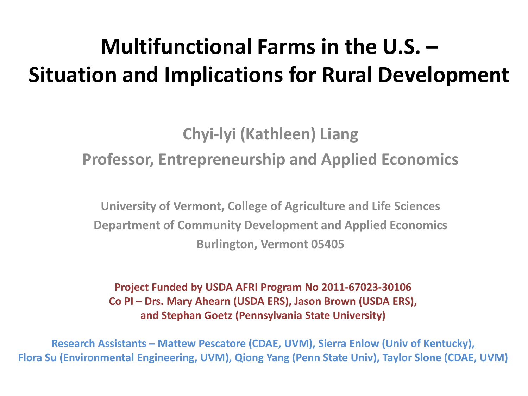## **Multifunctional Farms in the U.S. – Situation and Implications for Rural Development**

#### **Chyi-lyi (Kathleen) Liang Professor, Entrepreneurship and Applied Economics**

**University of Vermont, College of Agriculture and Life Sciences Department of Community Development and Applied Economics Burlington, Vermont 05405**

**Project Funded by USDA AFRI Program No 2011-67023-30106 Co PI – Drs. Mary Ahearn (USDA ERS), Jason Brown (USDA ERS), and Stephan Goetz (Pennsylvania State University)** 

**Research Assistants – Mattew Pescatore (CDAE, UVM), Sierra Enlow (Univ of Kentucky), Flora Su (Environmental Engineering, UVM), Qiong Yang (Penn State Univ), Taylor Slone (CDAE, UVM)**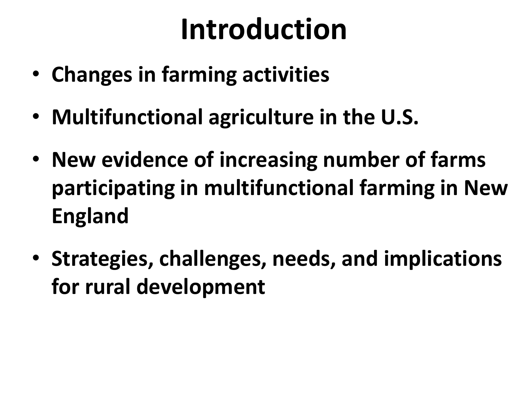# **Introduction**

- **Changes in farming activities**
- **Multifunctional agriculture in the U.S.**
- **New evidence of increasing number of farms participating in multifunctional farming in New England**
- **Strategies, challenges, needs, and implications for rural development**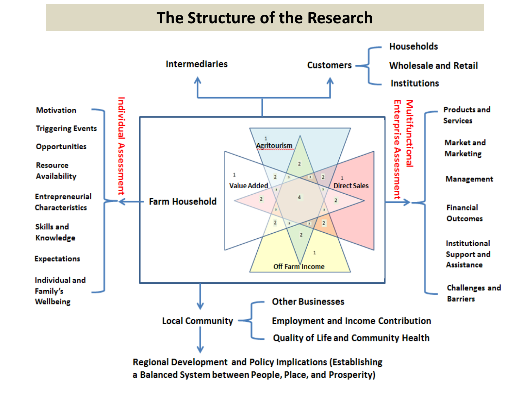#### **The Structure of the Research**



a Balanced System between People, Place, and Prosperity)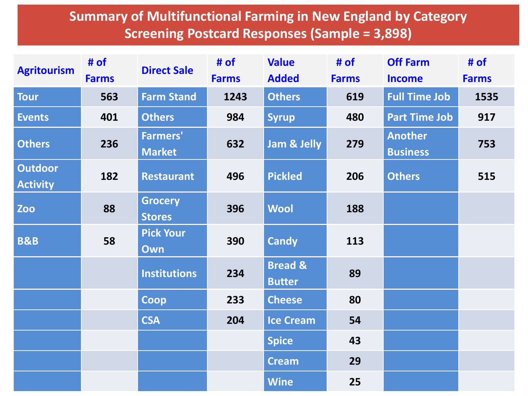#### **Summary of Multifunctional Farming in New England by Category Screening Postcard Responses (Sample = 3,898)**

| <b>Agritourism</b>                | # of<br><b>Farms</b> | <b>Direct Sale</b>               | # of<br><b>Farms</b> | <b>Value</b><br><b>Added</b>        | # of<br><b>Farms</b> | <b>Off Farm</b><br><b>Income</b>  | # of<br><b>Farms</b> |
|-----------------------------------|----------------------|----------------------------------|----------------------|-------------------------------------|----------------------|-----------------------------------|----------------------|
| <b>Tour</b>                       | 563                  | <b>Farm Stand</b>                | 1243                 | <b>Others</b>                       | 619                  | <b>Full Time Job</b>              | 1535                 |
| <b>Events</b>                     | 401                  | <b>Others</b>                    | 984                  | <b>Syrup</b>                        | 480                  | <b>Part Time Job</b>              | 917                  |
| <b>Others</b>                     | 236                  | <b>Farmers'</b><br><b>Market</b> | 632                  | Jam & Jelly                         | 279                  | <b>Another</b><br><b>Business</b> | 753                  |
| <b>Outdoor</b><br><b>Activity</b> | 182                  | <b>Restaurant</b>                | 496                  | <b>Pickled</b>                      | 206                  | <b>Others</b>                     | 515                  |
| Zoo                               | 88                   | <b>Grocery</b><br><b>Stores</b>  | 396                  | <b>Wool</b>                         | 188                  |                                   |                      |
| <b>B&amp;B</b>                    | 58                   | <b>Pick Your</b><br>Own          | 390                  | <b>Candy</b>                        | 113                  |                                   |                      |
|                                   |                      | <b>Institutions</b>              | 234                  | <b>Bread &amp;</b><br><b>Butter</b> | 89                   |                                   |                      |
|                                   |                      | Coop                             | 233                  | <b>Cheese</b>                       | 80                   |                                   |                      |
|                                   |                      | <b>CSA</b>                       | 204                  | <b>Ice Cream</b>                    | 54                   |                                   |                      |
|                                   |                      |                                  |                      | <b>Spice</b>                        | 43                   |                                   |                      |
|                                   |                      |                                  |                      | <b>Cream</b>                        | 29                   |                                   |                      |
|                                   |                      |                                  |                      | <b>Wine</b>                         | 25                   |                                   |                      |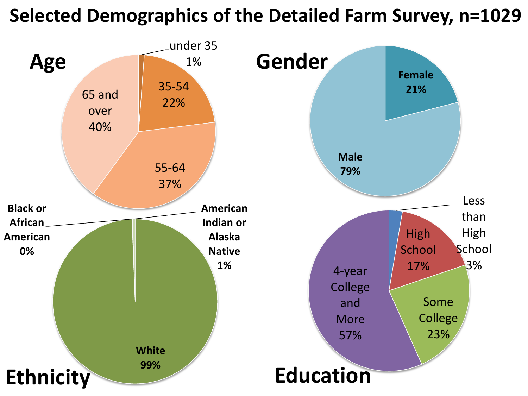#### **Selected Demographics of the Detailed Farm Survey, n=1029**

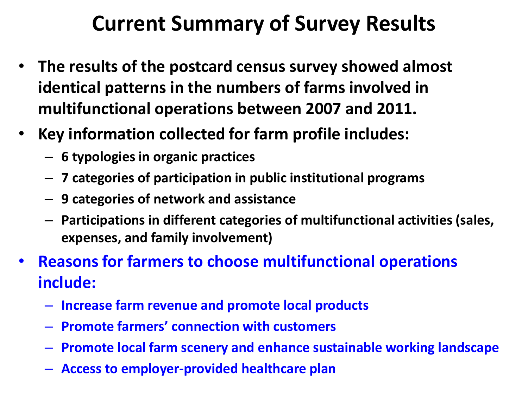### **Current Summary of Survey Results**

- **The results of the postcard census survey showed almost identical patterns in the numbers of farms involved in multifunctional operations between 2007 and 2011.**
- **Key information collected for farm profile includes:**
	- **6 typologies in organic practices**
	- **7 categories of participation in public institutional programs**
	- **9 categories of network and assistance**
	- **Participations in different categories of multifunctional activities (sales, expenses, and family involvement)**
- **Reasons for farmers to choose multifunctional operations include:**
	- **Increase farm revenue and promote local products**
	- **Promote farmers' connection with customers**
	- **Promote local farm scenery and enhance sustainable working landscape**
	- **Access to employer-provided healthcare plan**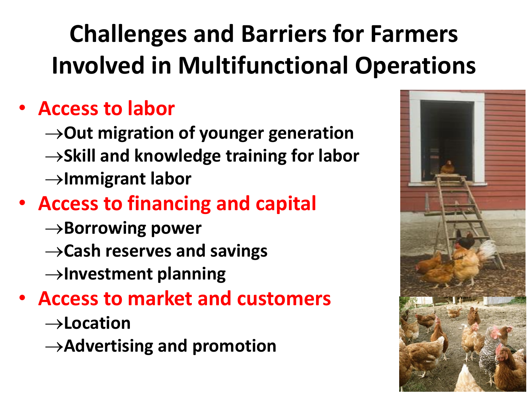## **Challenges and Barriers for Farmers Involved in Multifunctional Operations**

#### • **Access to labor**

 $\rightarrow$ Out migration of younger generation  $\rightarrow$ Skill and knowledge training for labor **Immigrant labor**

### • **Access to financing and capital**

- $\rightarrow$ **Borrowing power**
- $\rightarrow$  Cash reserves and savings
- **Investment planning**

#### • **Access to market and customers**

- **Location**
- **Advertising and promotion**

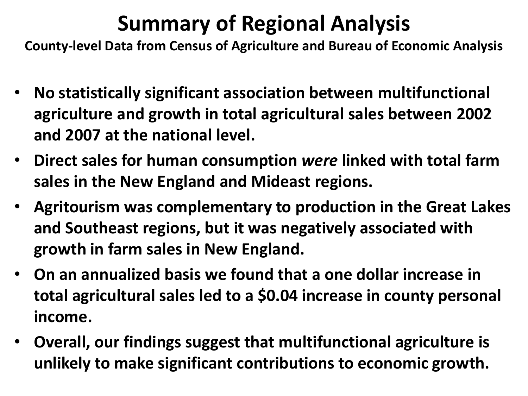## **Summary of Regional Analysis**

**County-level Data from Census of Agriculture and Bureau of Economic Analysis**

- **No statistically significant association between multifunctional agriculture and growth in total agricultural sales between 2002 and 2007 at the national level.**
- **Direct sales for human consumption** *were* **linked with total farm sales in the New England and Mideast regions.**
- **Agritourism was complementary to production in the Great Lakes and Southeast regions, but it was negatively associated with growth in farm sales in New England.**
- **On an annualized basis we found that a one dollar increase in total agricultural sales led to a \$0.04 increase in county personal income.**
- **Overall, our findings suggest that multifunctional agriculture is unlikely to make significant contributions to economic growth.**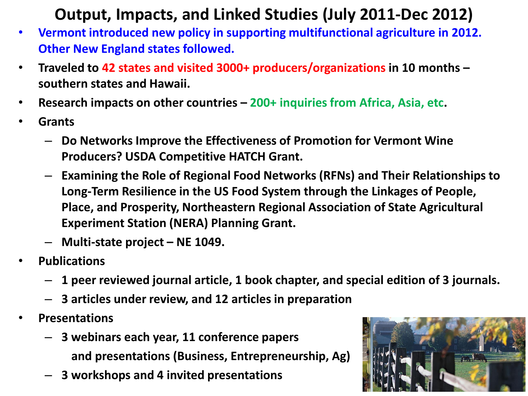#### **Output, Impacts, and Linked Studies (July 2011-Dec 2012)**

- **Vermont introduced new policy in supporting multifunctional agriculture in 2012. Other New England states followed.**
- **Traveled to 42 states and visited 3000+ producers/organizations in 10 months – southern states and Hawaii.**
- **Research impacts on other countries – 200+ inquiries from Africa, Asia, etc.**
- **Grants**
	- **Do Networks Improve the Effectiveness of Promotion for Vermont Wine Producers? USDA Competitive HATCH Grant.**
	- **Examining the Role of Regional Food Networks (RFNs) and Their Relationships to Long-Term Resilience in the US Food System through the Linkages of People, Place, and Prosperity, Northeastern Regional Association of State Agricultural Experiment Station (NERA) Planning Grant.**
	- **Multi-state project – NE 1049.**
- **Publications**
	- **1 peer reviewed journal article, 1 book chapter, and special edition of 3 journals.**
	- **3 articles under review, and 12 articles in preparation**
- **Presentations**
	- **3 webinars each year, 11 conference papers** 
		- **and presentations (Business, Entrepreneurship, Ag)**
	- **3 workshops and 4 invited presentations**

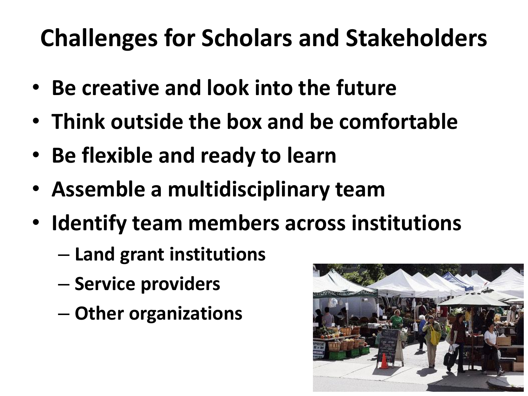## **Challenges for Scholars and Stakeholders**

- **Be creative and look into the future**
- **Think outside the box and be comfortable**
- **Be flexible and ready to learn**
- **Assemble a multidisciplinary team**
- **Identify team members across institutions** 
	- **Land grant institutions**
	- **Service providers**
	- **Other organizations**